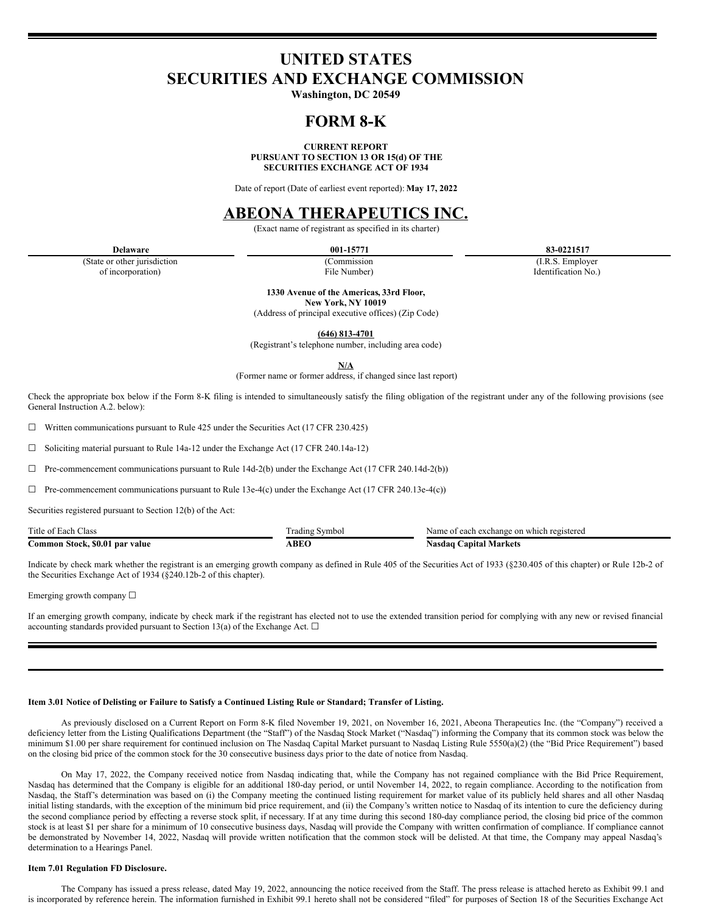# **UNITED STATES SECURITIES AND EXCHANGE COMMISSION**

**Washington, DC 20549**

## **FORM 8-K**

**CURRENT REPORT PURSUANT TO SECTION 13 OR 15(d) OF THE SECURITIES EXCHANGE ACT OF 1934**

Date of report (Date of earliest event reported): **May 17, 2022**

## **ABEONA THERAPEUTICS INC.**

(Exact name of registrant as specified in its charter)

(State or other jurisdiction of incorporation)

(Commission

**Delaware 001-15771 83-0221517**

(I.R.S. Employer Identification No.)

File Number) **1330 Avenue of the Americas, 33rd Floor,**

**New York, NY 10019**

(Address of principal executive offices) (Zip Code)

**(646) 813-4701**

(Registrant's telephone number, including area code)

**N/A**

(Former name or former address, if changed since last report)

Check the appropriate box below if the Form 8-K filing is intended to simultaneously satisfy the filing obligation of the registrant under any of the following provisions (see General Instruction A.2. below):

 $\Box$  Written communications pursuant to Rule 425 under the Securities Act (17 CFR 230.425)

☐ Soliciting material pursuant to Rule 14a-12 under the Exchange Act (17 CFR 240.14a-12)

 $\Box$  Pre-commencement communications pursuant to Rule 14d-2(b) under the Exchange Act (17 CFR 240.14d-2(b))

 $\Box$  Pre-commencement communications pursuant to Rule 13e-4(c) under the Exchange Act (17 CFR 240.13e-4(c))

Securities registered pursuant to Section 12(b) of the Act:

| Title of Each Class            | rading Symbol | Name of each exchange on which registered |
|--------------------------------|---------------|-------------------------------------------|
| Common Stock, \$0.01 par value | ABEO          | . Capital Markets<br>Nasdaq <b>'</b>      |

Indicate by check mark whether the registrant is an emerging growth company as defined in Rule 405 of the Securities Act of 1933 (§230.405 of this chapter) or Rule 12b-2 of the Securities Exchange Act of 1934 (§240.12b-2 of this chapter).

Emerging growth company ☐

If an emerging growth company, indicate by check mark if the registrant has elected not to use the extended transition period for complying with any new or revised financial accounting standards provided pursuant to Section 13(a) of the Exchange Act.  $\square$ 

## Item 3.01 Notice of Delisting or Failure to Satisfy a Continued Listing Rule or Standard; Transfer of Listing.

As previously disclosed on a Current Report on Form 8-K filed November 19, 2021, on November 16, 2021, Abeona Therapeutics Inc. (the "Company") received a deficiency letter from the Listing Qualifications Department (the "Staff") of the Nasdaq Stock Market ("Nasdaq") informing the Company that its common stock was below the minimum \$1.00 per share requirement for continued inclusion on The Nasdaq Capital Market pursuant to Nasdaq Listing Rule 5550(a)(2) (the "Bid Price Requirement") based on the closing bid price of the common stock for the 30 consecutive business days prior to the date of notice from Nasdaq.

On May 17, 2022, the Company received notice from Nasdaq indicating that, while the Company has not regained compliance with the Bid Price Requirement, Nasdaq has determined that the Company is eligible for an additional 180-day period, or until November 14, 2022, to regain compliance. According to the notification from Nasdaq, the Staff's determination was based on (i) the Company meeting the continued listing requirement for market value of its publicly held shares and all other Nasdaq initial listing standards, with the exception of the minimum bid price requirement, and (ii) the Company's written notice to Nasdaq of its intention to cure the deficiency during the second compliance period by effecting a reverse stock split, if necessary. If at any time during this second 180-day compliance period, the closing bid price of the common stock is at least \$1 per share for a minimum of 10 consecutive business days, Nasdaq will provide the Company with written confirmation of compliance. If compliance cannot be demonstrated by November 14, 2022, Nasdaq will provide written notification that the common stock will be delisted. At that time, the Company may appeal Nasdaq's determination to a Hearings Panel.

#### **Item 7.01 Regulation FD Disclosure.**

The Company has issued a press release, dated May 19, 2022, announcing the notice received from the Staff. The press release is attached hereto as Exhibit 99.1 and is incorporated by reference herein. The information furnished in Exhibit 99.1 hereto shall not be considered "filed" for purposes of Section 18 of the Securities Exchange Act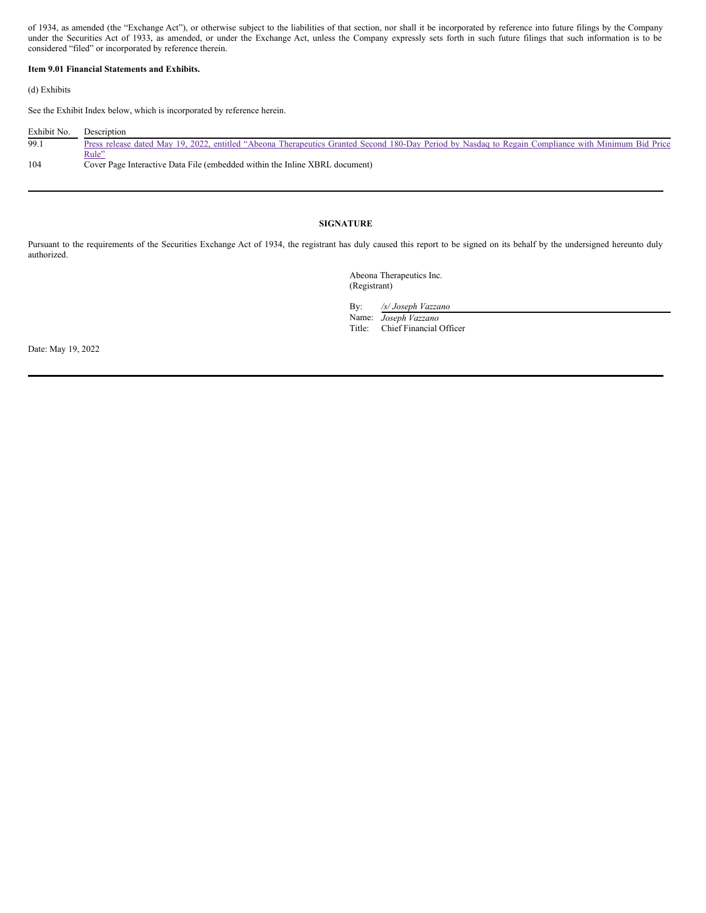of 1934, as amended (the "Exchange Act"), or otherwise subject to the liabilities of that section, nor shall it be incorporated by reference into future filings by the Company under the Securities Act of 1933, as amended, or under the Exchange Act, unless the Company expressly sets forth in such future filings that such information is to be considered "filed" or incorporated by reference therein.

## **Item 9.01 Financial Statements and Exhibits.**

(d) Exhibits

See the Exhibit Index below, which is incorporated by reference herein.

| Exhibit No. | Description                                                                                                                                         |
|-------------|-----------------------------------------------------------------------------------------------------------------------------------------------------|
| 99.1        | Press release dated May 19, 2022, entitled "Abeona Therapeutics Granted Second 180-Day Period by Nasdaq to Regain Compliance with Minimum Bid Price |
|             | Rule"                                                                                                                                               |
| 104         | Cover Page Interactive Data File (embedded within the Inline XBRL document)                                                                         |

## **SIGNATURE**

Pursuant to the requirements of the Securities Exchange Act of 1934, the registrant has duly caused this report to be signed on its behalf by the undersigned hereunto duly authorized.

> Abeona Therapeutics Inc. (Registrant)

By: */s/ Joseph Vazzano*

Name: *Joseph Vazzano* Title: Chief Financial Officer

Date: May 19, 2022